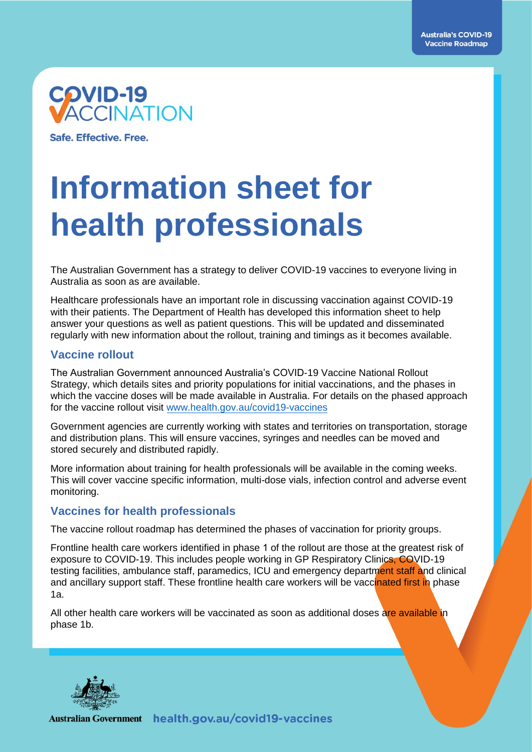

Safe, Effective, Free.

## **Information sheet for health professionals**

The Australian Government has a strategy to deliver COVID-19 vaccines to everyone living in Australia as soon as are available.

Healthcare professionals have an important role in discussing vaccination against COVID-19 with their patients. The Department of Health has developed this information sheet to help answer your questions as well as patient questions. This will be updated and disseminated regularly with new information about the rollout, training and timings as it becomes available.

#### **Vaccine rollout**

The Australian Government announced Australia's COVID-19 Vaccine National Rollout Strategy, which details sites and priority populations for initial vaccinations, and the phases in which the vaccine doses will be made available in Australia. For details on the phased approach for the vaccine rollout visit [www.health.gov.au/covid19-vaccines](http://www.health.gov.au/covid19-vaccines)

Government agencies are currently working with states and territories on transportation, storage and distribution plans. This will ensure vaccines, syringes and needles can be moved and stored securely and distributed rapidly.

More information about training for health professionals will be available in the coming weeks. This will cover vaccine specific information, multi-dose vials, infection control and adverse event monitoring.

#### **Vaccines for health professionals**

The vaccine rollout roadmap has determined the phases of vaccination for priority groups.

Frontline health care workers identified in phase 1 of the rollout are those at the greatest risk of exposure to COVID-19. This includes people working in GP Respiratory Clinics, COVID-19 testing facilities, ambulance staff, paramedics, ICU and emergency department staff and clinical and ancillary support staff. These frontline health care workers will be vaccinated first in phase 1a.

All other health care workers will be vaccinated as soon as additional doses are available in phase 1b.

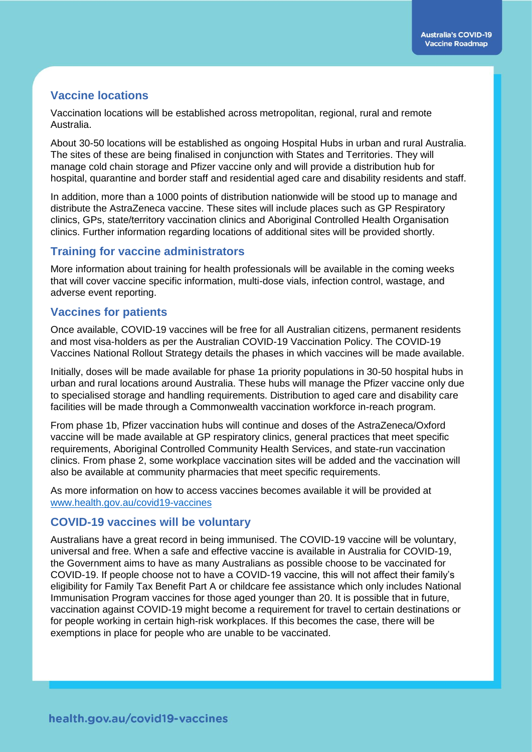#### **Vaccine locations**

Vaccination locations will be established across metropolitan, regional, rural and remote Australia.

About 30-50 locations will be established as ongoing Hospital Hubs in urban and rural Australia. The sites of these are being finalised in conjunction with States and Territories. They will manage cold chain storage and Pfizer vaccine only and will provide a distribution hub for hospital, quarantine and border staff and residential aged care and disability residents and staff.

In addition, more than a 1000 points of distribution nationwide will be stood up to manage and distribute the AstraZeneca vaccine. These sites will include places such as GP Respiratory clinics, GPs, state/territory vaccination clinics and Aboriginal Controlled Health Organisation clinics. Further information regarding locations of additional sites will be provided shortly.

#### **Training for vaccine administrators**

More information about training for health professionals will be available in the coming weeks that will cover vaccine specific information, multi-dose vials, infection control, wastage, and adverse event reporting.

#### **Vaccines for patients**

Once available, COVID-19 vaccines will be free for all Australian citizens, permanent residents and most visa-holders as per the Australian COVID-19 Vaccination Policy. The COVID-19 Vaccines National Rollout Strategy details the phases in which vaccines will be made available.

Initially, doses will be made available for phase 1a priority populations in 30-50 hospital hubs in urban and rural locations around Australia. These hubs will manage the Pfizer vaccine only due to specialised storage and handling requirements. Distribution to aged care and disability care facilities will be made through a Commonwealth vaccination workforce in-reach program.

From phase 1b, Pfizer vaccination hubs will continue and doses of the AstraZeneca/Oxford vaccine will be made available at GP respiratory clinics, general practices that meet specific requirements, Aboriginal Controlled Community Health Services, and state-run vaccination clinics. From phase 2, some workplace vaccination sites will be added and the vaccination will also be available at community pharmacies that meet specific requirements.

As more information on how to access vaccines becomes available it will be provided at [www.health.gov.au/covid19-vaccines](http://www.health.gov.au/covid19-vaccines)

#### **COVID-19 vaccines will be voluntary**

Australians have a great record in being immunised. The COVID-19 vaccine will be voluntary, universal and free. When a safe and effective vaccine is available in Australia for COVID-19, the Government aims to have as many Australians as possible choose to be vaccinated for COVID-19. If people choose not to have a COVID-19 vaccine, this will not affect their family's eligibility for Family Tax Benefit Part A or childcare fee assistance which only includes National Immunisation Program vaccines for those aged younger than 20. It is possible that in future, vaccination against COVID-19 might become a requirement for travel to certain destinations or for people working in certain high-risk workplaces. If this becomes the case, there will be exemptions in place for people who are unable to be vaccinated.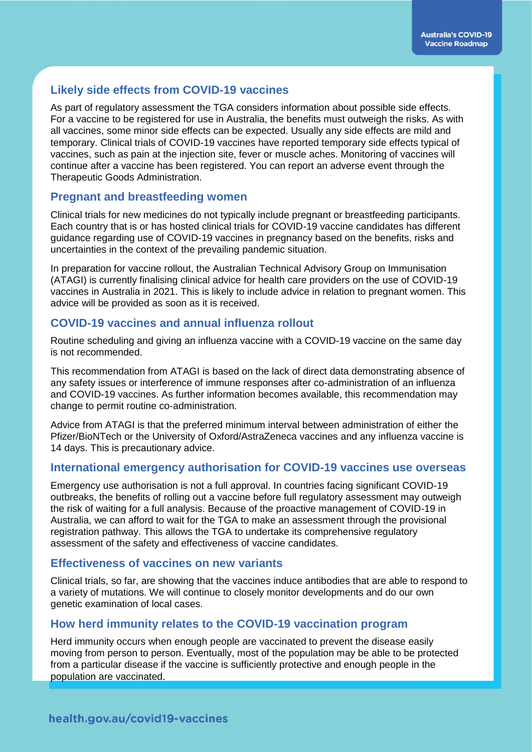#### **Likely side effects from COVID-19 vaccines**

As part of regulatory assessment the TGA considers information about possible side effects. For a vaccine to be registered for use in Australia, the benefits must outweigh the risks. As with all vaccines, some minor side effects can be expected. Usually any side effects are mild and temporary. Clinical trials of COVID-19 vaccines have reported temporary side effects typical of vaccines, such as pain at the injection site, fever or muscle aches. Monitoring of vaccines will continue after a vaccine has been registered. You can report an adverse event through the Therapeutic Goods Administration.

#### **Pregnant and breastfeeding women**

Clinical trials for new medicines do not typically include pregnant or breastfeeding participants. Each country that is or has hosted clinical trials for COVID-19 vaccine candidates has different guidance regarding use of COVID-19 vaccines in pregnancy based on the benefits, risks and uncertainties in the context of the prevailing pandemic situation.

In preparation for vaccine rollout, the Australian Technical Advisory Group on Immunisation (ATAGI) is currently finalising clinical advice for health care providers on the use of COVID-19 vaccines in Australia in 2021. This is likely to include advice in relation to pregnant women. This advice will be provided as soon as it is received.

#### **COVID-19 vaccines and annual influenza rollout**

Routine scheduling and giving an influenza vaccine with a COVID-19 vaccine on the same day is not recommended.

This recommendation from ATAGI is based on the lack of direct data demonstrating absence of any safety issues or interference of immune responses after co-administration of an influenza and COVID-19 vaccines. As further information becomes available, this recommendation may change to permit routine co-administration.

Advice from ATAGI is that the preferred minimum interval between administration of either the Pfizer/BioNTech or the University of Oxford/AstraZeneca vaccines and any influenza vaccine is 14 days. This is precautionary advice.

#### **International emergency authorisation for COVID-19 vaccines use overseas**

Emergency use authorisation is not a full approval. In countries facing significant COVID-19 outbreaks, the benefits of rolling out a vaccine before full regulatory assessment may outweigh the risk of waiting for a full analysis. Because of the proactive management of COVID-19 in Australia, we can afford to wait for the TGA to make an assessment through the provisional registration pathway. This allows the TGA to undertake its comprehensive regulatory assessment of the safety and effectiveness of vaccine candidates.

#### **Effectiveness of vaccines on new variants**

Clinical trials, so far, are showing that the vaccines induce antibodies that are able to respond to a variety of mutations. We will continue to closely monitor developments and do our own genetic examination of local cases.

#### **How herd immunity relates to the COVID-19 vaccination program**

Herd immunity occurs when enough people are vaccinated to prevent the disease easily moving from person to person. Eventually, most of the population may be able to be protected from a particular disease if the vaccine is sufficiently protective and enough people in the population are vaccinated.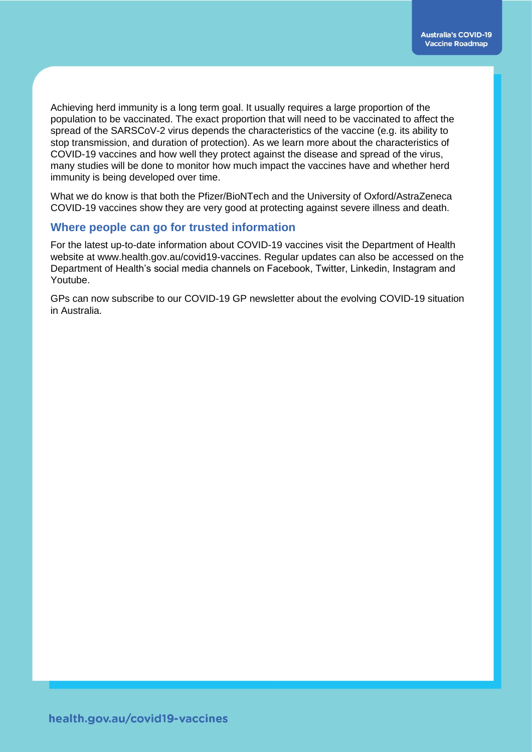Achieving herd immunity is a long term goal. It usually requires a large proportion of the population to be vaccinated. The exact proportion that will need to be vaccinated to affect the spread of the SARSCoV-2 virus depends the characteristics of the vaccine (e.g. its ability to stop transmission, and duration of protection). As we learn more about the characteristics of COVID-19 vaccines and how well they protect against the disease and spread of the virus, many studies will be done to monitor how much impact the vaccines have and whether herd immunity is being developed over time.

What we do know is that both the Pfizer/BioNTech and the University of Oxford/AstraZeneca COVID-19 vaccines show they are very good at protecting against severe illness and death.

#### **Where people can go for trusted information**

For the latest up-to-date information about COVID-19 vaccines visit the Department of Health website at www.health.gov.au/covid19-vaccines. Regular updates can also be accessed on the Department of Health's social media channels on Facebook, Twitter, Linkedin, Instagram and Youtube.

GPs can now subscribe to our COVID-19 GP newsletter about the evolving COVID-19 situation in Australia.